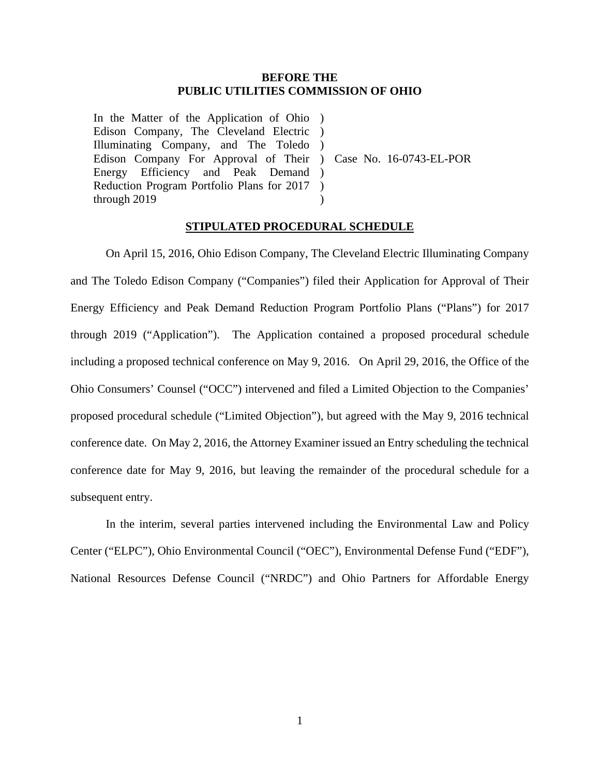## **BEFORE THE PUBLIC UTILITIES COMMISSION OF OHIO**

In the Matter of the Application of Ohio ) Edison Company, The Cleveland Electric ) Illuminating Company, and The Toledo ) Edison Company For Approval of Their ) Case No. 16-0743-EL-POR Energy Efficiency and Peak Demand ) Reduction Program Portfolio Plans for 2017 ) through 2019  $\lambda$ 

## **STIPULATED PROCEDURAL SCHEDULE**

 On April 15, 2016, Ohio Edison Company, The Cleveland Electric Illuminating Company and The Toledo Edison Company ("Companies") filed their Application for Approval of Their Energy Efficiency and Peak Demand Reduction Program Portfolio Plans ("Plans") for 2017 through 2019 ("Application"). The Application contained a proposed procedural schedule including a proposed technical conference on May 9, 2016. On April 29, 2016, the Office of the Ohio Consumers' Counsel ("OCC") intervened and filed a Limited Objection to the Companies' proposed procedural schedule ("Limited Objection"), but agreed with the May 9, 2016 technical conference date. On May 2, 2016, the Attorney Examiner issued an Entry scheduling the technical conference date for May 9, 2016, but leaving the remainder of the procedural schedule for a subsequent entry.

 In the interim, several parties intervened including the Environmental Law and Policy Center ("ELPC"), Ohio Environmental Council ("OEC"), Environmental Defense Fund ("EDF"), National Resources Defense Council ("NRDC") and Ohio Partners for Affordable Energy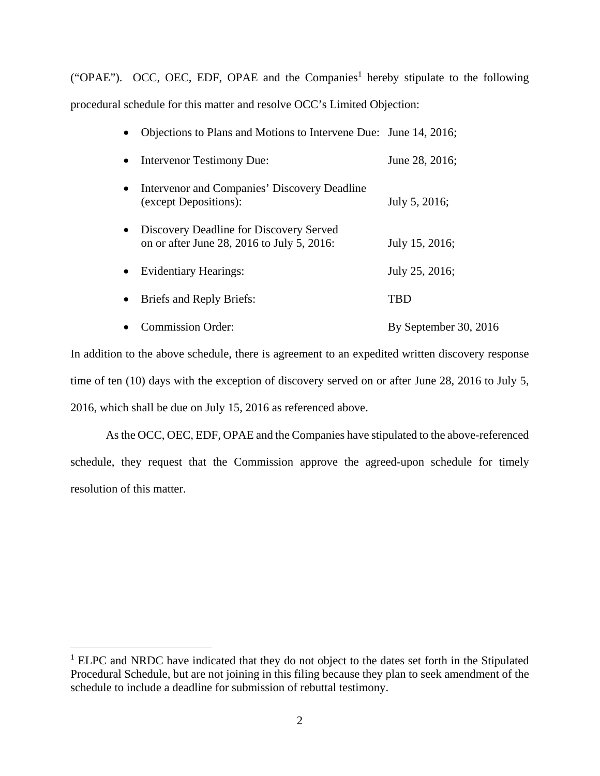("OPAE"). OCC, OEC, EDF, OPAE and the Companies<sup>1</sup> hereby stipulate to the following procedural schedule for this matter and resolve OCC's Limited Objection:

|  |  |  |  | • Objections to Plans and Motions to Intervene Due: June 14, 2016; |  |
|--|--|--|--|--------------------------------------------------------------------|--|
|--|--|--|--|--------------------------------------------------------------------|--|

|           | • Intervenor Testimony Due:                                                           | June 28, 2016; |
|-----------|---------------------------------------------------------------------------------------|----------------|
| $\bullet$ | Intervenor and Companies' Discovery Deadline<br>(except Depositions):                 | July 5, 2016;  |
| $\bullet$ | Discovery Deadline for Discovery Served<br>on or after June 28, 2016 to July 5, 2016: | July 15, 2016; |
| $\bullet$ | <b>Evidentiary Hearings:</b>                                                          | July 25, 2016; |

• Briefs and Reply Briefs: TBD

• Commission Order: By September 30, 2016

In addition to the above schedule, there is agreement to an expedited written discovery response time of ten (10) days with the exception of discovery served on or after June 28, 2016 to July 5, 2016, which shall be due on July 15, 2016 as referenced above.

 As the OCC, OEC, EDF, OPAE and the Companies have stipulated to the above-referenced schedule, they request that the Commission approve the agreed-upon schedule for timely resolution of this matter.

 $\overline{a}$ 

<sup>&</sup>lt;sup>1</sup> ELPC and NRDC have indicated that they do not object to the dates set forth in the Stipulated Procedural Schedule, but are not joining in this filing because they plan to seek amendment of the schedule to include a deadline for submission of rebuttal testimony.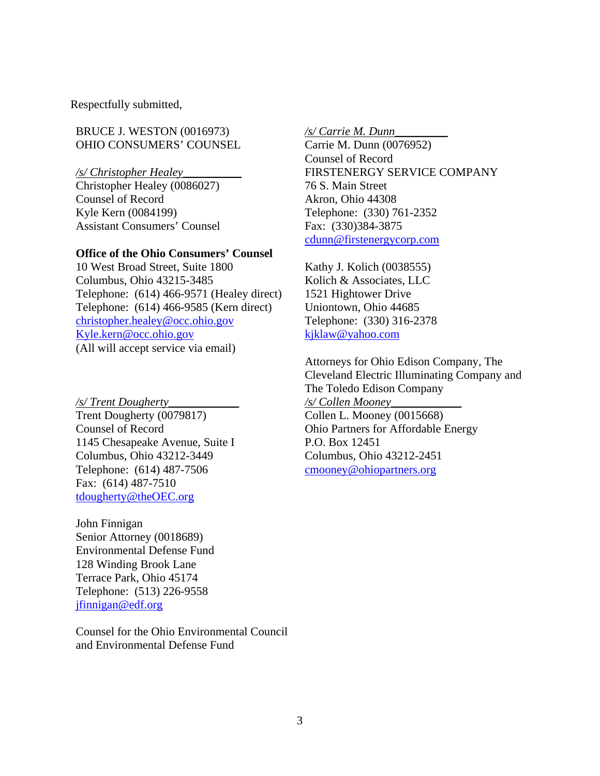Respectfully submitted,

BRUCE J. WESTON (0016973) OHIO CONSUMERS' COUNSEL

*/s/ Christopher Healey*\_\_\_\_\_\_\_\_\_\_

Christopher Healey (0086027) Counsel of Record Kyle Kern (0084199) Assistant Consumers' Counsel

#### **Office of the Ohio Consumers' Counsel**

10 West Broad Street, Suite 1800 Columbus, Ohio 43215-3485 Telephone: (614) 466-9571 (Healey direct) Telephone: (614) 466-9585 (Kern direct) christopher.healey@occ.ohio.gov Kyle.kern@occ.ohio.gov (All will accept service via email)

*/s/ Trent Dougherty\_\_\_\_\_\_\_\_\_\_\_\_*  Trent Dougherty (0079817) Counsel of Record 1145 Chesapeake Avenue, Suite I Columbus, Ohio 43212-3449 Telephone: (614) 487-7506 Fax: (614) 487-7510 tdougherty@theOEC.org

John Finnigan Senior Attorney (0018689) Environmental Defense Fund 128 Winding Brook Lane Terrace Park, Ohio 45174 Telephone: (513) 226-9558 jfinnigan@edf.org

Counsel for the Ohio Environmental Council and Environmental Defense Fund

*/s/ Carrie M. Dunn*\_\_\_\_\_\_\_\_\_

Carrie M. Dunn (0076952) Counsel of Record FIRSTENERGY SERVICE COMPANY 76 S. Main Street Akron, Ohio 44308 Telephone: (330) 761-2352 Fax: (330)384-3875 cdunn@firstenergycorp.com

Kathy J. Kolich (0038555) Kolich & Associates, LLC 1521 Hightower Drive Uniontown, Ohio 44685 Telephone: (330) 316-2378 kjklaw@yahoo.com

Attorneys for Ohio Edison Company, The Cleveland Electric Illuminating Company and The Toledo Edison Company */s/ Collen Mooney*\_\_\_\_\_\_\_\_\_\_\_\_ Collen L. Mooney (0015668) Ohio Partners for Affordable Energy P.O. Box 12451 Columbus, Ohio 43212-2451 cmooney@ohiopartners.org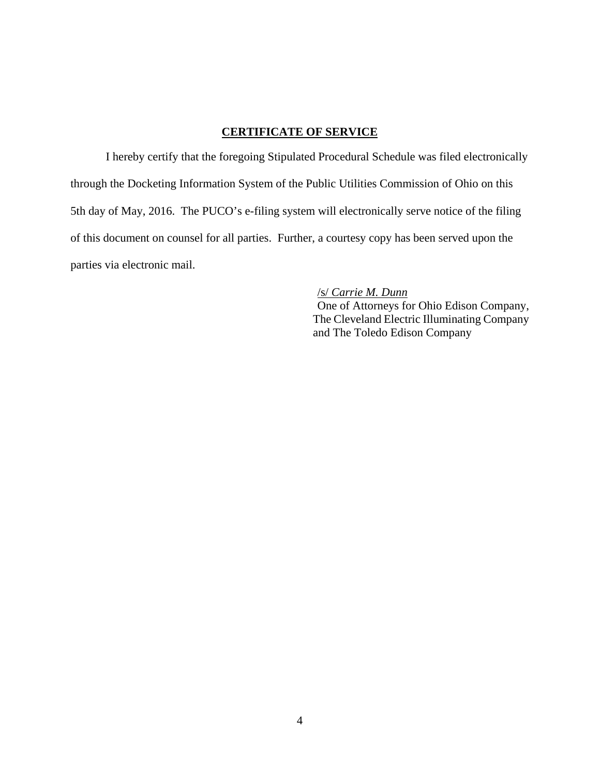# **CERTIFICATE OF SERVICE**

I hereby certify that the foregoing Stipulated Procedural Schedule was filed electronically through the Docketing Information System of the Public Utilities Commission of Ohio on this 5th day of May, 2016. The PUCO's e-filing system will electronically serve notice of the filing of this document on counsel for all parties. Further, a courtesy copy has been served upon the parties via electronic mail.

# /s/ *Carrie M. Dunn*

 One of Attorneys for Ohio Edison Company, The Cleveland Electric Illuminating Company and The Toledo Edison Company